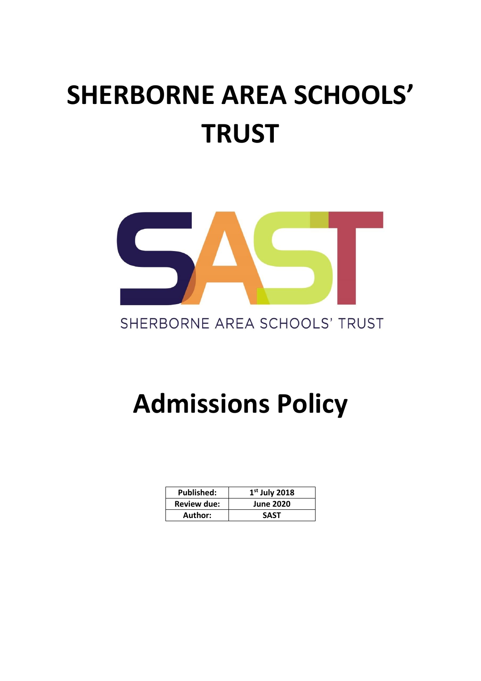# **SHERBORNE AREA SCHOOLS' TRUST**



## SHERBORNE AREA SCHOOLS' TRUST

# **Admissions Policy**

| <b>Published:</b>  | $1st$ July 2018  |
|--------------------|------------------|
| <b>Review due:</b> | <b>June 2020</b> |
| Author:            | SAST             |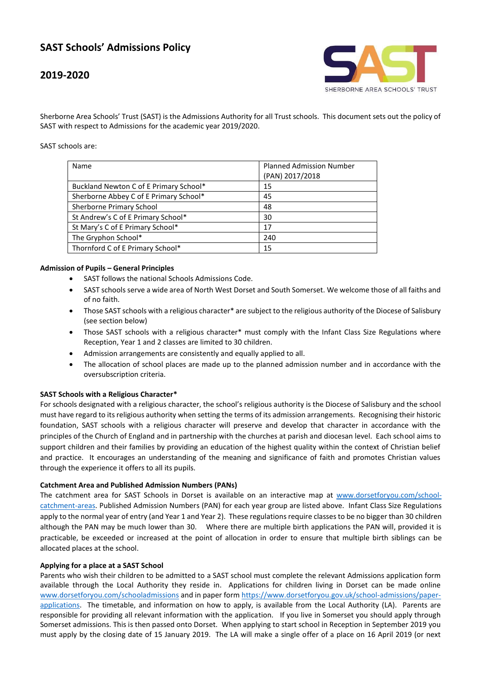### **SAST Schools' Admissions Policy**

### **2019-2020**



Sherborne Area Schools' Trust (SAST) is the Admissions Authority for all Trust schools. This document sets out the policy of SAST with respect to Admissions for the academic year 2019/2020.

SAST schools are:

| Name                                   | <b>Planned Admission Number</b><br>(PAN) 2017/2018 |
|----------------------------------------|----------------------------------------------------|
| Buckland Newton C of E Primary School* | 15                                                 |
| Sherborne Abbey C of E Primary School* | 45                                                 |
| Sherborne Primary School               | 48                                                 |
| St Andrew's C of E Primary School*     | 30                                                 |
| St Mary's C of E Primary School*       | 17                                                 |
| The Gryphon School*                    | 240                                                |
| Thornford C of E Primary School*       | 15                                                 |

#### **Admission of Pupils – General Principles**

- SAST follows the national Schools Admissions Code.
- SAST schools serve a wide area of North West Dorset and South Somerset. We welcome those of all faiths and of no faith.
- Those SAST schools with a religious character\* are subject to the religious authority of the Diocese of Salisbury (see section below)
- Those SAST schools with a religious character\* must comply with the Infant Class Size Regulations where Reception, Year 1 and 2 classes are limited to 30 children.
- Admission arrangements are consistently and equally applied to all.
- The allocation of school places are made up to the planned admission number and in accordance with the oversubscription criteria.

#### **SAST Schools with a Religious Character\***

For schools designated with a religious character, the school's religious authority is the Diocese of Salisbury and the school must have regard to its religious authority when setting the terms of its admission arrangements. Recognising their historic foundation, SAST schools with a religious character will preserve and develop that character in accordance with the principles of the Church of England and in partnership with the churches at parish and diocesan level. Each school aims to support children and their families by providing an education of the highest quality within the context of Christian belief and practice. It encourages an understanding of the meaning and significance of faith and promotes Christian values through the experience it offers to all its pupils.

#### **Catchment Area and Published Admission Numbers (PANs)**

The catchment area for SAST Schools in Dorset is available on an interactive map at [www.dorsetforyou.com/school](http://www.dorsetforyou.com/school-catchment-areas)[catchment-areas.](http://www.dorsetforyou.com/school-catchment-areas) Published Admission Numbers (PAN) for each year group are listed above. Infant Class Size Regulations apply to the normal year of entry (and Year 1 and Year 2). These regulations require classes to be no bigger than 30 children although the PAN may be much lower than 30. Where there are multiple birth applications the PAN will, provided it is practicable, be exceeded or increased at the point of allocation in order to ensure that multiple birth siblings can be allocated places at the school.

#### **Applying for a place at a SAST School**

Parents who wish their children to be admitted to a SAST school must complete the relevant Admissions application form available through the Local Authority they reside in. Applications for children living in Dorset can be made online [www.dorsetforyou.com/schooladmissions](http://www.dorsetforyou.com/schooladmissions) and in paper form [https://www.dorsetforyou.gov.uk/school-admissions/paper](https://www.dorsetforyou.gov.uk/school-admissions/paper-applications)[applications.](https://www.dorsetforyou.gov.uk/school-admissions/paper-applications) The timetable, and information on how to apply, is available from the Local Authority (LA). Parents are responsible for providing all relevant information with the application. If you live in Somerset you should apply through Somerset admissions. This is then passed onto Dorset. When applying to start school in Reception in September 2019 you must apply by the closing date of 15 January 2019. The LA will make a single offer of a place on 16 April 2019 (or next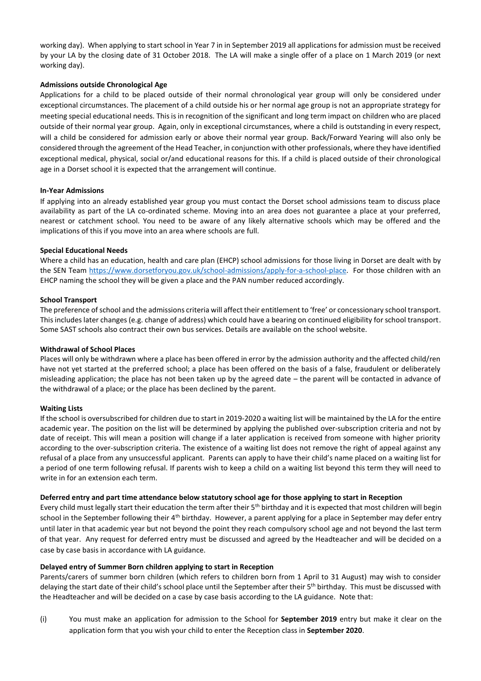working day). When applying to start school in Year 7 in in September 2019 all applications for admission must be received by your LA by the closing date of 31 October 2018. The LA will make a single offer of a place on 1 March 2019 (or next working day).

#### **Admissions outside Chronological Age**

Applications for a child to be placed outside of their normal chronological year group will only be considered under exceptional circumstances. The placement of a child outside his or her normal age group is not an appropriate strategy for meeting special educational needs. This is in recognition of the significant and long term impact on children who are placed outside of their normal year group. Again, only in exceptional circumstances, where a child is outstanding in every respect, will a child be considered for admission early or above their normal year group. Back/Forward Yearing will also only be considered through the agreement of the Head Teacher, in conjunction with other professionals, where they have identified exceptional medical, physical, social or/and educational reasons for this. If a child is placed outside of their chronological age in a Dorset school it is expected that the arrangement will continue.

#### **In-Year Admissions**

If applying into an already established year group you must contact the Dorset school admissions team to discuss place availability as part of the LA co-ordinated scheme. Moving into an area does not guarantee a place at your preferred, nearest or catchment school. You need to be aware of any likely alternative schools which may be offered and the implications of this if you move into an area where schools are full.

#### **Special Educational Needs**

Where a child has an education, health and care plan (EHCP) school admissions for those living in Dorset are dealt with by the SEN Team [https://www.dorsetforyou.gov.uk/school-admissions/apply-for-a-school-place.](https://www.dorsetforyou.gov.uk/school-admissions/apply-for-a-school-place) For those children with an EHCP naming the school they will be given a place and the PAN number reduced accordingly.

#### **School Transport**

The preference of school and the admissions criteria will affect their entitlement to 'free' or concessionary school transport. This includes later changes (e.g. change of address) which could have a bearing on continued eligibility for school transport. Some SAST schools also contract their own bus services. Details are available on the school website.

#### **Withdrawal of School Places**

Places will only be withdrawn where a place has been offered in error by the admission authority and the affected child/ren have not yet started at the preferred school; a place has been offered on the basis of a false, fraudulent or deliberately misleading application; the place has not been taken up by the agreed date – the parent will be contacted in advance of the withdrawal of a place; or the place has been declined by the parent.

#### **Waiting Lists**

If the school is oversubscribed for children due to start in 2019-2020 a waiting list will be maintained by the LA for the entire academic year. The position on the list will be determined by applying the published over-subscription criteria and not by date of receipt. This will mean a position will change if a later application is received from someone with higher priority according to the over-subscription criteria. The existence of a waiting list does not remove the right of appeal against any refusal of a place from any unsuccessful applicant. Parents can apply to have their child's name placed on a waiting list for a period of one term following refusal. If parents wish to keep a child on a waiting list beyond this term they will need to write in for an extension each term.

#### **Deferred entry and part time attendance below statutory school age for those applying to start in Reception**

Every child must legally start their education the term after their 5<sup>th</sup> birthday and it is expected that most children will begin school in the September following their 4<sup>th</sup> birthday. However, a parent applying for a place in September may defer entry until later in that academic year but not beyond the point they reach compulsory school age and not beyond the last term of that year. Any request for deferred entry must be discussed and agreed by the Headteacher and will be decided on a case by case basis in accordance with LA guidance.

#### **Delayed entry of Summer Born children applying to start in Reception**

Parents/carers of summer born children (which refers to children born from 1 April to 31 August) may wish to consider delaying the start date of their child's school place until the September after their 5<sup>th</sup> birthday. This must be discussed with the Headteacher and will be decided on a case by case basis according to the LA guidance. Note that:

(i) You must make an application for admission to the School for **September 2019** entry but make it clear on the application form that you wish your child to enter the Reception class in **September 2020**.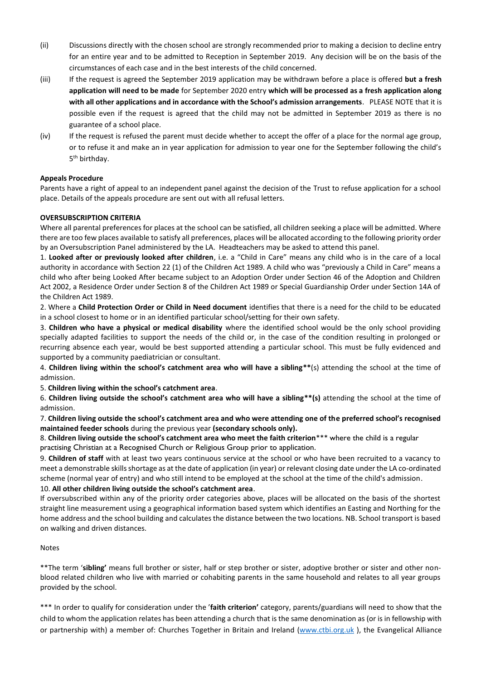- (ii) Discussions directly with the chosen school are strongly recommended prior to making a decision to decline entry for an entire year and to be admitted to Reception in September 2019. Any decision will be on the basis of the circumstances of each case and in the best interests of the child concerned.
- (iii) If the request is agreed the September 2019 application may be withdrawn before a place is offered **but a fresh application will need to be made** for September 2020 entry **which will be processed as a fresh application along with all other applications and in accordance with the School's admission arrangements**. PLEASE NOTE that it is possible even if the request is agreed that the child may not be admitted in September 2019 as there is no guarantee of a school place.
- (iv) If the request is refused the parent must decide whether to accept the offer of a place for the normal age group, or to refuse it and make an in year application for admission to year one for the September following the child's 5<sup>th</sup> birthday.

#### **Appeals Procedure**

Parents have a right of appeal to an independent panel against the decision of the Trust to refuse application for a school place. Details of the appeals procedure are sent out with all refusal letters.

#### **OVERSUBSCRIPTION CRITERIA**

Where all parental preferences for places at the school can be satisfied, all children seeking a place will be admitted. Where there are too few places available to satisfy all preferences, places will be allocated according to the following priority order by an Oversubscription Panel administered by the LA. Headteachers may be asked to attend this panel.

1. **Looked after or previously looked after children**, i.e. a "Child in Care" means any child who is in the care of a local authority in accordance with Section 22 (1) of the Children Act 1989. A child who was "previously a Child in Care" means a child who after being Looked After became subject to an Adoption Order under Section 46 of the Adoption and Children Act 2002, a Residence Order under Section 8 of the Children Act 1989 or Special Guardianship Order under Section 14A of the Children Act 1989.

2. Where a **Child Protection Order or Child in Need document** identifies that there is a need for the child to be educated in a school closest to home or in an identified particular school/setting for their own safety.

3. **Children who have a physical or medical disability** where the identified school would be the only school providing specially adapted facilities to support the needs of the child or, in the case of the condition resulting in prolonged or recurring absence each year, would be best supported attending a particular school. This must be fully evidenced and supported by a community paediatrician or consultant.

4. **Children living within the school's catchment area who will have a sibling\*\***(s) attending the school at the time of admission.

5. **Children living within the school's catchment area**.

6. **Children living outside the school's catchment area who will have a sibling\*\*(s)** attending the school at the time of admission.

7. **Children living outside the school's catchment area and who were attending one of the preferred school's recognised maintained feeder schools** during the previous year **(secondary schools only).** 

8. **Children living outside the school's catchment area who meet the faith criterion**\*\*\* where the child is a regular practising Christian at a Recognised Church or Religious Group prior to application.

9. **Children of staff** with at least two years continuous service at the school or who have been recruited to a vacancy to meet a demonstrable skills shortage as at the date of application (in year) or relevant closing date under the LA co-ordinated scheme (normal year of entry) and who still intend to be employed at the school at the time of the child's admission.

#### 10. **All other children living outside the school's catchment area**.

If oversubscribed within any of the priority order categories above, places will be allocated on the basis of the shortest straight line measurement using a geographical information based system which identifies an Easting and Northing for the home address and the school building and calculates the distance between the two locations. NB. School transport is based on walking and driven distances.

#### Notes

\*\*The term '**sibling'** means full brother or sister, half or step brother or sister, adoptive brother or sister and other nonblood related children who live with married or cohabiting parents in the same household and relates to all year groups provided by the school.

\*\*\* In order to qualify for consideration under the '**faith criterion'** category, parents/guardians will need to show that the child to whom the application relates has been attending a church that is the same denomination as (or is in fellowship with or partnership with) a member of: Churches Together in Britain and Ireland [\(www.ctbi.org.uk](http://www.ctbi.org.uk/) ), the Evangelical Alliance